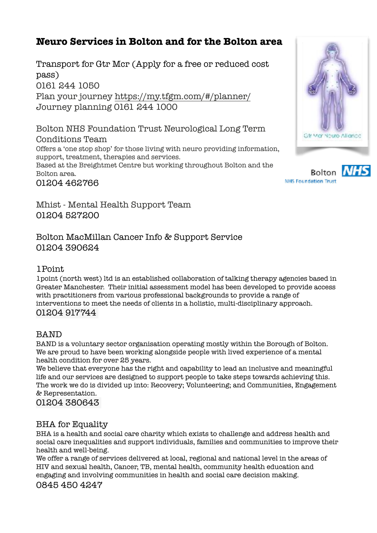# **Neuro Services in Bolton and for the Bolton area**

Transport for Gtr Mcr (Apply for a free or reduced cost pass) 0161 244 1050 Plan your journey<https://my.tfgm.com/#/planner/> Journey planning 0161 244 1000

Bolton NHS Foundation Trust Neurological Long Term Conditions Team Offers a 'one stop shop' for those living with neuro providing information, support, treatment, therapies and services. Based at the Breightmet Centre but working throughout Bolton and the Bolton area. 01204 462766

**Bolton NHS Foundation Trust** 

Gir Mar Nouro Alliance

Mhist - Mental Health Support Team 01204 527200

Bolton MacMillan Cancer Info & Support Service 01204 390624

# 1Point

1point (north west) ltd is an established collaboration of talking therapy agencies based in Greater Manchester. Their initial assessment model has been developed to provide access with practitioners from various professional backgrounds to provide a range of interventions to meet the needs of clients in a holistic, multi-disciplinary approach. 01204 917744

# BAND

BAND is a voluntary sector organisation operating mostly within the Borough of Bolton. We are proud to have been working alongside people with lived experience of a mental health condition for over 25 years.

We believe that everyone has the right and capability to lead an inclusive and meaningful life and our services are designed to support people to take steps towards achieving this. The work we do is divided up into: Recovery; Volunteering; and Communities, Engagement & Representation.

01204 380643

# BHA for Equality

BHA is a health and social care charity which exists to challenge and address health and social care inequalities and support individuals, families and communities to improve their health and well-being.

We offer a range of services delivered at local, regional and national level in the areas of HIV and sexual health, Cancer, TB, mental health, community health education and engaging and involving communities in health and social care decision making. 0845 450 4247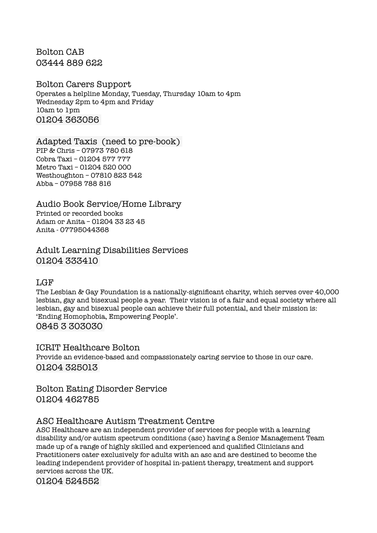Bolton CAB 03444 889 622

# Bolton Carers Support

Operates a helpline Monday, Tuesday, Thursday 10am to 4pm Wednesday 2pm to 4pm and Friday 10am to 1pm 01204 363056

#### Adapted Taxis (need to pre-book)

PIP & Chris – 07973 780 618 Cobra Taxi – 01204 577 777 Metro Taxi – 01204 520 000 Westhoughton – 07810 823 542 Abba – 07958 788 816

# Audio Book Service/Home Library

Printed or recorded books Adam or Anita – 01204 33 23 45 Anita - 07795044368

Adult Learning Disabilities Services 01204 333410

#### **LGF**

The Lesbian & Gay Foundation is a nationally-significant charity, which serves over 40,000 lesbian, gay and bisexual people a year. Their vision is of a fair and equal society where all lesbian, gay and bisexual people can achieve their full potential, and their mission is: 'Ending Homophobia, Empowering People'. 0845 3 303030

# ICRIT Healthcare Bolton

Provide an evidence-based and compassionately caring service to those in our care. 01204 325013

Bolton Eating Disorder Service 01204 462785

# ASC Healthcare Autism Treatment Centre

ASC Healthcare are an independent provider of services for people with a learning disability and/or autism spectrum conditions (asc) having a Senior Management Team made up of a range of highly skilled and experienced and qualified Clinicians and Practitioners cater exclusively for adults with an asc and are destined to become the leading independent provider of hospital in-patient therapy, treatment and support services across the UK.

01204 524552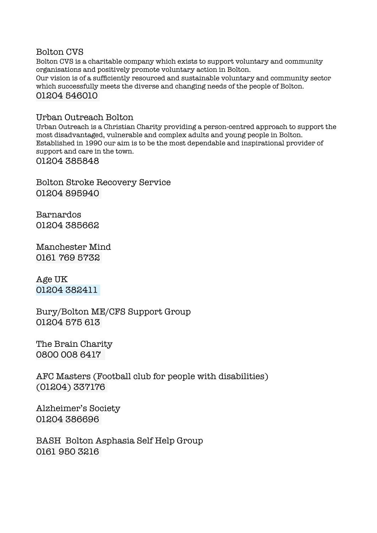#### Bolton CVS

Bolton CVS is a charitable company which exists to support voluntary and community organisations and positively promote voluntary action in Bolton.

Our vision is of a sufficiently resourced and sustainable voluntary and community sector which successfully meets the diverse and changing needs of the people of Bolton. 01204 546010

#### Urban Outreach Bolton

Urban Outreach is a Christian Charity providing a person-centred approach to support the most disadvantaged, vulnerable and complex adults and young people in Bolton. Established in 1990 our aim is to be the most dependable and inspirational provider of support and care in the town. 01204 385848

Bolton Stroke Recovery Service 01204 895940

Barnardos 01204 385662

Manchester Mind 0161 769 5732

Age UK 01204 382411

Bury/Bolton ME/CFS Support Group 01204 575 613

The Brain Charity 0800 008 6417

AFC Masters (Football club for people with disabilities) (01204) 337176

Alzheimer's Society 01204 386696

BASH Bolton Asphasia Self Help Group 0161 950 3216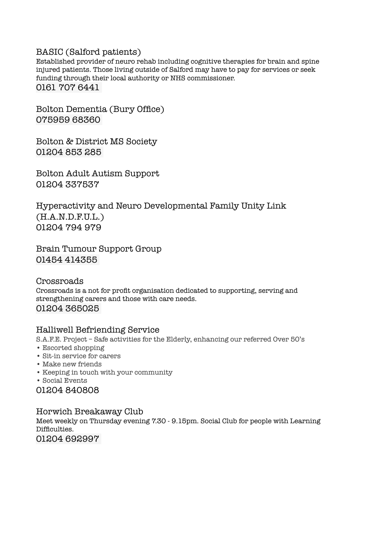#### BASIC (Salford patients)

Established provider of neuro rehab including cognitive therapies for brain and spine injured patients. Those living outside of Salford may have to pay for services or seek funding through their local authority or NHS commissioner. 0161 707 6441

Bolton Dementia (Bury Office) 075959 68360

Bolton & District MS Society 01204 853 285

Bolton Adult Autism Support 01204 337537

Hyperactivity and Neuro Developmental Family Unity Link (H.A.N.D.F.U.L.) 01204 794 979

Brain Tumour Support Group 01454 414355

Crossroads Crossroads is a not for profit organisation dedicated to supporting, serving and strengthening carers and those with care needs. 01204 365025

#### Halliwell Befriending Service

S.A.F.E. Project – Safe activities for the Elderly, enhancing our referred Over 50's

- Escorted shopping
- Sit-in service for carers
- Make new friends
- Keeping in touch with your community
- Social Events

01204 840808

Horwich Breakaway Club Meet weekly on Thursday evening 7.30 - 9.15pm. Social Club for people with Learning Difficulties. 01204 692997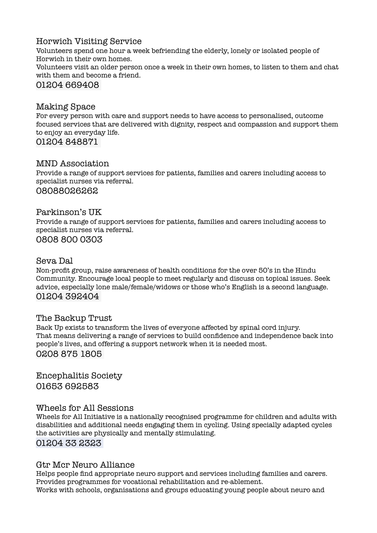# Horwich Visiting Service

Volunteers spend one hour a week befriending the elderly, lonely or isolated people of Horwich in their own homes. Volunteers visit an older person once a week in their own homes, to listen to them and chat with them and become a friend.

### 01204 669408

#### Making Space

For every person with care and support needs to have access to personalised, outcome focused services that are delivered with dignity, respect and compassion and support them to enjoy an everyday life.

01204 848871

#### MND Association

Provide a range of support services for patients, families and carers including access to specialist nurses via referral. 08088026262

#### Parkinson's UK

Provide a range of support services for patients, families and carers including access to specialist nurses via referral.

0808 800 0303

#### Seva Dal

Non-profit group, raise awareness of health conditions for the over 50's in the Hindu Community. Encourage local people to meet regularly and discuss on topical issues. Seek advice, especially lone male/female/widows or those who's English is a second language. 01204 392404

#### The Backup Trust

Back Up exists to transform the lives of everyone affected by spinal cord injury. That means delivering a range of services to build confidence and independence back into people's lives, and offering a support network when it is needed most. 0208 875 1805

Encephalitis Society 01653 692583

#### Wheels for All Sessions

Wheels for All Initiative is a nationally recognised programme for children and adults with disabilities and additional needs engaging them in cycling. Using specially adapted cycles the activities are physically and mentally stimulating. 01204 33 2323

#### Gtr Mcr Neuro Alliance

Helps people find appropriate neuro support and services including families and carers. Provides programmes for vocational rehabilitation and re-ablement. Works with schools, organisations and groups educating young people about neuro and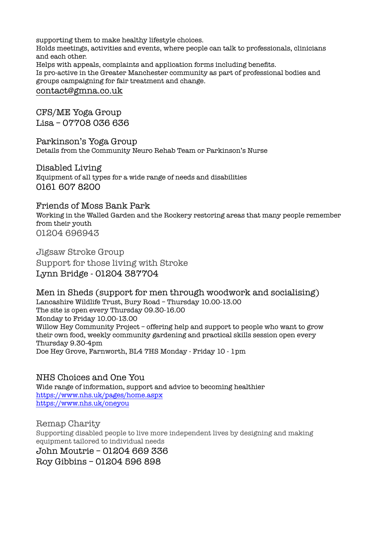supporting them to make healthy lifestyle choices. Holds meetings, activities and events, where people can talk to professionals, clinicians and each other. Helps with appeals, complaints and application forms including benefits. Is pro-active in the Greater Manchester community as part of professional bodies and groups campaigning for fair treatment and change. [contact@gmna.co.uk](mailto:contact@gmna.co.uk)

CFS/ME Yoga Group Lisa – 07708 036 636

Parkinson's Yoga Group Details from the Community Neuro Rehab Team or Parkinson's Nurse

Disabled Living Equipment of all types for a wide range of needs and disabilities 0161 607 8200

Friends of Moss Bank Park

Working in the Walled Garden and the Rockery restoring areas that many people remember from their youth 01204 696943

Jigsaw Stroke Group Support for those living with Stroke Lynn Bridge - 01204 387704

Men in Sheds (support for men through woodwork and socialising) Lancashire Wildlife Trust, Bury Road – Thursday 10.00-13.00 The site is open every Thursday 09.30-16.00 Monday to Friday 10.00-13.00 Willow Hey Community Project – offering help and support to people who want to grow their own food, weekly community gardening and practical skills session open every Thursday 9.30-4pm Doe Hey Grove, Farnworth, BL4 7HS Monday - Friday 10 - 1pm

NHS Choices and One You Wide range of information, support and advice to becoming healthier <https://www.nhs.uk/pages/home.aspx> <https://www.nhs.uk/oneyou>

Remap Charity Supporting disabled people to live more independent lives by designing and making equipment tailored to individual needs John Moutrie – 01204 669 336 Roy Gibbins – 01204 596 898